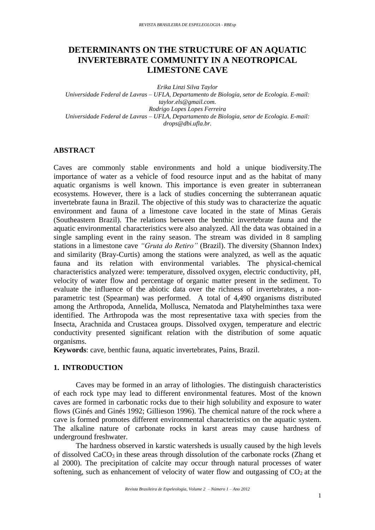# **DETERMINANTS ON THE STRUCTURE OF AN AQUATIC INVERTEBRATE COMMUNITY IN A NEOTROPICAL LIMESTONE CAVE**

*Erika Linzi Silva Taylor*

*Universidade Federal de Lavras – UFLA, Departamento de Biologia, setor de Ecologia. E-mail: taylor.els@gmail.com. Rodrigo Lopes Lopes Ferreira Universidade Federal de Lavras – UFLA, Departamento de Biologia, setor de Ecologia. E-mail: drops@dbi.ufla.br.*

## **ABSTRACT**

Caves are commonly stable environments and hold a unique biodiversity.The importance of water as a vehicle of food resource input and as the habitat of many aquatic organisms is well known. This importance is even greater in subterranean ecosystems. However, there is a lack of studies concerning the subterranean aquatic invertebrate fauna in Brazil. The objective of this study was to characterize the aquatic environment and fauna of a limestone cave located in the state of Minas Gerais (Southeastern Brazil). The relations between the benthic invertebrate fauna and the aquatic environmental characteristics were also analyzed. All the data was obtained in a single sampling event in the rainy season. The stream was divided in 8 sampling stations in a limestone cave *"Gruta do Retiro"* (Brazil). The diversity (Shannon Index) and similarity (Bray-Curtis) among the stations were analyzed, as well as the aquatic fauna and its relation with environmental variables. The physical-chemical characteristics analyzed were: temperature, dissolved oxygen, electric conductivity, pH, velocity of water flow and percentage of organic matter present in the sediment. To evaluate the influence of the abiotic data over the richness of invertebrates, a nonparametric test (Spearman) was performed. A total of 4,490 organisms distributed among the Arthropoda, Annelida, Mollusca, Nematoda and Platyhelminthes taxa were identified. The Arthropoda was the most representative taxa with species from the Insecta, Arachnida and Crustacea groups. Dissolved oxygen, temperature and electric conductivity presented significant relation with the distribution of some aquatic organisms.

**Keywords**: cave, benthic fauna, aquatic invertebrates, Pains, Brazil.

## **1. INTRODUCTION**

Caves may be formed in an array of lithologies. The distinguish characteristics of each rock type may lead to different environmental features. Most of the known caves are formed in carbonatic rocks due to their high solubility and exposure to water flows (Ginés and Ginés 1992; Gillieson 1996). The chemical nature of the rock where a cave is formed promotes different environmental characteristics on the aquatic system. The alkaline nature of carbonate rocks in karst areas may cause hardness of underground freshwater.

The hardness observed in karstic watersheds is usually caused by the high levels of dissolved  $CaCO<sub>3</sub>$  in these areas through dissolution of the carbonate rocks (Zhang et al 2000). The precipitation of calcite may occur through natural processes of water softening, such as enhancement of velocity of water flow and outgassing of  $CO<sub>2</sub>$  at the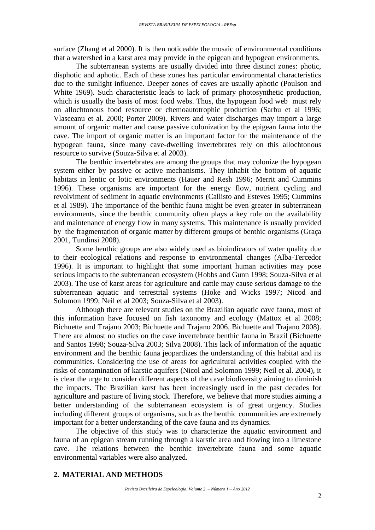surface (Zhang et al 2000). It is then noticeable the mosaic of environmental conditions that a watershed in a karst area may provide in the epigean and hypogean environments.

The subterranean systems are usually divided into three distinct zones: photic, disphotic and aphotic. Each of these zones has particular environmental characteristics due to the sunlight influence. Deeper zones of caves are usually aphotic (Poulson and White 1969). Such characteristic leads to lack of primary photosynthetic production, which is usually the basis of most food webs. Thus, the hypogean food web must rely on allochtonous food resource or chemoautotrophic production (Sarbu et al 1996; Vlasceanu et al. 2000; Porter 2009). Rivers and water discharges may import a large amount of organic matter and cause passive colonization by the epigean fauna into the cave. The import of organic matter is an important factor for the maintenance of the hypogean fauna, since many cave-dwelling invertebrates rely on this allochtonous resource to survive (Souza-Silva et al 2003).

The benthic invertebrates are among the groups that may colonize the hypogean system either by passive or active mechanisms. They inhabit the bottom of aquatic habitats in lentic or lotic environments (Hauer and Resh 1996; Merrit and Cummins 1996). These organisms are important for the energy flow, nutrient cycling and revolviment of sediment in aquatic environments (Callisto and Esteves 1995; Cummins et al 1989). The importance of the benthic fauna might be even greater in subterranean environments, since the benthic community often plays a key role on the availability and maintenance of energy flow in many systems. This maintenance is usually provided by the fragmentation of organic matter by different groups of benthic organisms (Graça 2001, Tundinsi 2008).

Some benthic groups are also widely used as bioindicators of water quality due to their ecological relations and response to environmental changes (Alba-Tercedor 1996). It is important to highlight that some important human activities may pose serious impacts to the subterranean ecosystem (Hobbs and Gunn 1998; Souza-Silva et al 2003). The use of karst areas for agriculture and cattle may cause serious damage to the subterranean aquatic and terrestrial systems (Hoke and Wicks 1997; Nicod and Solomon 1999; Neil et al 2003; Souza-Silva et al 2003).

Although there are relevant studies on the Brazilian aquatic cave fauna, most of this information have focused on fish taxonomy and ecology (Mattox et al 2008; Bichuette and Trajano 2003; Bichuette and Trajano 2006, Bichuette and Trajano 2008). There are almost no studies on the cave invertebrate benthic fauna in Brazil (Bichuette and Santos 1998; Souza-Silva 2003; Silva 2008). This lack of information of the aquatic environment and the benthic fauna jeopardizes the understanding of this habitat and its communities. Considering the use of areas for agricultural activities coupled with the risks of contamination of karstic aquifers (Nicol and Solomon 1999; Neil et al. 2004), it is clear the urge to consider different aspects of the cave biodiversity aiming to diminish the impacts. The Brazilian karst has been increasingly used in the past decades for agriculture and pasture of living stock. Therefore, we believe that more studies aiming a better understanding of the subterranean ecosystem is of great urgency. Studies including different groups of organisms, such as the benthic communities are extremely important for a better understanding of the cave fauna and its dynamics.

The objective of this study was to characterize the aquatic environment and fauna of an epigean stream running through a karstic area and flowing into a limestone cave. The relations between the benthic invertebrate fauna and some aquatic environmental variables were also analyzed.

## **2. MATERIAL AND METHODS**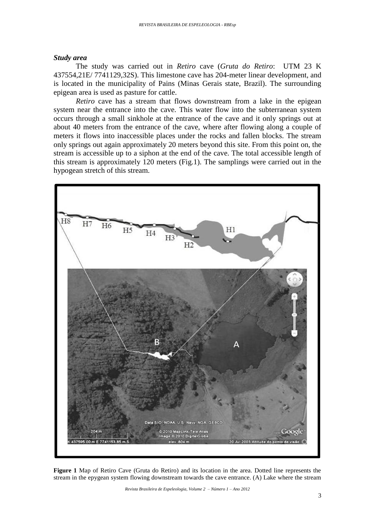#### *Study area*

The study was carried out in *Retiro* cave (*Gruta do Retiro*: UTM 23 K 437554,21E/ 7741129,32S). This limestone cave has 204-meter linear development, and is located in the municipality of Pains (Minas Gerais state, Brazil). The surrounding epigean area is used as pasture for cattle.

*Retiro* cave has a stream that flows downstream from a lake in the epigean system near the entrance into the cave. This water flow into the subterranean system occurs through a small sinkhole at the entrance of the cave and it only springs out at about 40 meters from the entrance of the cave, where after flowing along a couple of meters it flows into inaccessible places under the rocks and fallen blocks. The stream only springs out again approximately 20 meters beyond this site. From this point on, the stream is accessible up to a siphon at the end of the cave. The total accessible length of this stream is approximately 120 meters (Fig.1). The samplings were carried out in the hypogean stretch of this stream.



**Figure 1** Map of Retiro Cave (Gruta do Retiro) and its location in the area. Dotted line represents the stream in the epygean system flowing downstream towards the cave entrance. (A) Lake where the stream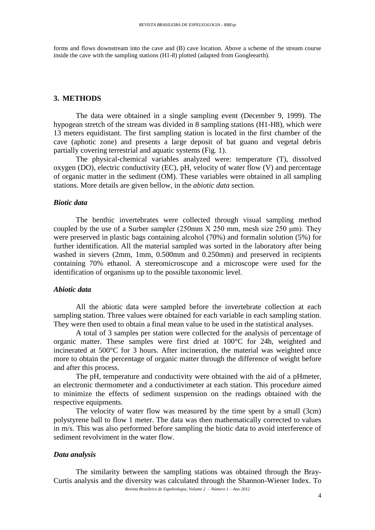forms and flows downstream into the cave and  $(B)$  cave location. Above a scheme of the stream course inside the cave with the sampling stations (H1-8) plotted (adapted from Googleearth).

#### **3. METHODS**

The data were obtained in a single sampling event (December 9, 1999). The hypogean stretch of the stream was divided in 8 sampling stations (H1-H8), which were 13 meters equidistant. The first sampling station is located in the first chamber of the cave (aphotic zone) and presents a large deposit of bat guano and vegetal debris partially covering terrestrial and aquatic systems (Fig. 1).

The physical-chemical variables analyzed were: temperature (T), dissolved oxygen (DO), electric conductivity (EC), pH, velocity of water flow (V) and percentage of organic matter in the sediment (OM). These variables were obtained in all sampling stations. More details are given bellow, in the *abiotic data* section.

## *Biotic data*

The benthic invertebrates were collected through visual sampling method coupled by the use of a Surber sampler (250mm X 250 mm, mesh size 250 μm). They were preserved in plastic bags containing alcohol (70%) and formalin solution (5%) for further identification. All the material sampled was sorted in the laboratory after being washed in sievers (2mm, 1mm, 0.500mm and 0.250mm) and preserved in recipients containing 70% ethanol. A stereomicroscope and a microscope were used for the identification of organisms up to the possible taxonomic level.

#### *Abiotic data*

All the abiotic data were sampled before the invertebrate collection at each sampling station. Three values were obtained for each variable in each sampling station. They were then used to obtain a final mean value to be used in the statistical analyses.

A total of 3 samples per station were collected for the analysis of percentage of organic matter. These samples were first dried at 100°C for 24h, weighted and incinerated at 500°C for 3 hours. After incineration, the material was weighted once more to obtain the percentage of organic matter through the difference of weight before and after this process.

The pH, temperature and conductivity were obtained with the aid of a pHmeter, an electronic thermometer and a conductivimeter at each station. This procedure aimed to minimize the effects of sediment suspension on the readings obtained with the respective equipments.

The velocity of water flow was measured by the time spent by a small (3cm) polystyrene ball to flow 1 meter. The data was then mathematically corrected to values in m/s. This was also performed before sampling the biotic data to avoid interference of sediment revolviment in the water flow.

#### *Data analysis*

The similarity between the sampling stations was obtained through the Bray-Curtis analysis and the diversity was calculated through the Shannon-Wiener Index. To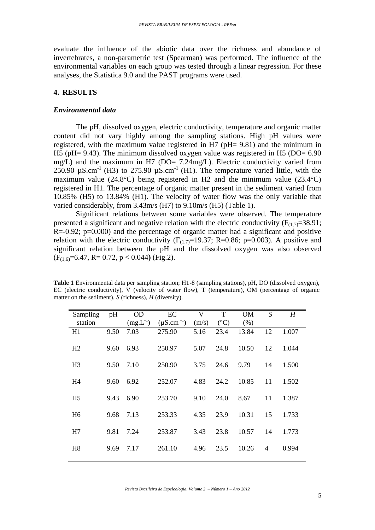evaluate the influence of the abiotic data over the richness and abundance of invertebrates, a non-parametric test (Spearman) was performed. The influence of the environmental variables on each group was tested through a linear regression. For these analyses, the Statistica 9.0 and the PAST programs were used.

### **4. RESULTS**

#### *Environmental data*

The pH, dissolved oxygen, electric conductivity, temperature and organic matter content did not vary highly among the sampling stations. High pH values were registered, with the maximum value registered in H7 (pH= 9.81) and the minimum in H5 (pH= 9.43). The minimum dissolved oxygen value was registered in H5 (DO= 6.90 mg/L) and the maximum in H7 (DO= 7.24mg/L). Electric conductivity varied from  $250.90 \text{ }\mu\text{S}$ .cm<sup>-1</sup> (H3) to 275.90  $\mu\text{S}$ .cm<sup>-1</sup> (H1). The temperature varied little, with the maximum value (24.8°C) being registered in H2 and the minimum value (23.4°C) registered in H1. The percentage of organic matter present in the sediment varied from 10.85% (H5) to 13.84% (H1). The velocity of water flow was the only variable that varied considerably, from 3.43m/s (H7) to 9.10m/s (H5) (Table 1).

Significant relations between some variables were observed. The temperature presented a significant and negative relation with the electric conductivity  $(F_{(1,7)}=38.91;$  $R = -0.92$ ;  $p = 0.000$ ) and the percentage of organic matter had a significant and positive relation with the electric conductivity  $(F_{(1,7)}=19.37; R=0.86; p=0.003)$ . A positive and significant relation between the pH and the dissolved oxygen was also observed (F(1,6)=6.47, R= 0.72, p < 0.044**)** (Fig.2).

**Table 1** Environmental data per sampling station; H1-8 (sampling stations), pH, DO (dissolved oxygen), EC (electric conductivity), V (velocity of water flow), T (temperature), OM (percentage of organic matter on the sediment), *S* (richness), *H* (diversity).

| Sampling       | pH   | <b>OD</b>     | EC                | V     | T             | <b>OM</b> | S  | H     |
|----------------|------|---------------|-------------------|-------|---------------|-----------|----|-------|
| station        |      | $(mg.L^{-1})$ | $(\mu S.cm^{-1})$ | (m/s) | $(^{\circ}C)$ | (% )      |    |       |
| H1             | 9.50 | 7.03          | 275.90            | 5.16  | 23.4          | 13.84     | 12 | 1.007 |
| H <sub>2</sub> | 9.60 | 6.93          | 250.97            | 5.07  | 24.8          | 10.50     | 12 | 1.044 |
| H <sub>3</sub> | 9.50 | 7.10          | 250.90            | 3.75  | 24.6          | 9.79      | 14 | 1.500 |
| H <sub>4</sub> | 9.60 | 6.92          | 252.07            | 4.83  | 24.2          | 10.85     | 11 | 1.502 |
| H <sub>5</sub> | 9.43 | 6.90          | 253.70            | 9.10  | 24.0          | 8.67      | 11 | 1.387 |
| H <sub>6</sub> | 9.68 | 7.13          | 253.33            | 4.35  | 23.9          | 10.31     | 15 | 1.733 |
| H7             | 9.81 | 7.24          | 253.87            | 3.43  | 23.8          | 10.57     | 14 | 1.773 |
| H <sub>8</sub> | 9.69 | 7.17          | 261.10            | 4.96  | 23.5          | 10.26     | 4  | 0.994 |
|                |      |               |                   |       |               |           |    |       |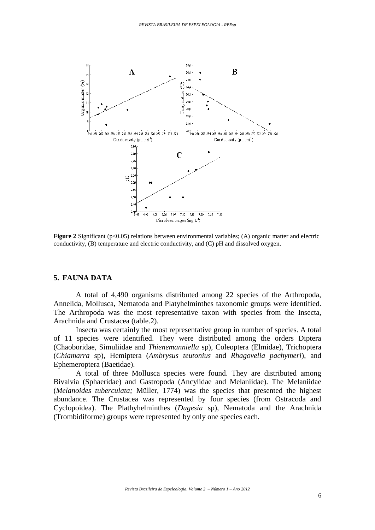

**Figure 2** Significant (p<0.05) relations between environmental variables; (A) organic matter and electric conductivity, (B) temperature and electric conductivity, and (C) pH and dissolved oxygen.

#### **5. FAUNA DATA**

A total of 4,490 organisms distributed among 22 species of the Arthropoda, Annelida, Mollusca, Nematoda and Platyhelminthes taxonomic groups were identified. The Arthropoda was the most representative taxon with species from the Insecta, Arachnida and Crustacea (table.2).

Insecta was certainly the most representative group in number of species. A total of 11 species were identified. They were distributed among the orders Diptera (Chaoboridae, Simuliidae and *Thienemanniella* sp), Coleoptera (Elmidae), Trichoptera (*Chiamarra* sp), Hemiptera (*Ambrysus teutonius* and *Rhagovelia pachymeri*), and Ephemeroptera (Baetidae).

A total of three Mollusca species were found. They are distributed among Bivalvia (Sphaeridae) and Gastropoda (Ancylidae and Melaniidae). The Melaniidae (*Melanoides tuberculata;* Müller, 1774) was the species that presented the highest abundance. The Crustacea was represented by four species (from Ostracoda and Cyclopoidea). The Plathyhelminthes (*Dugesia* sp), Nematoda and the Arachnida (Trombidiforme) groups were represented by only one species each.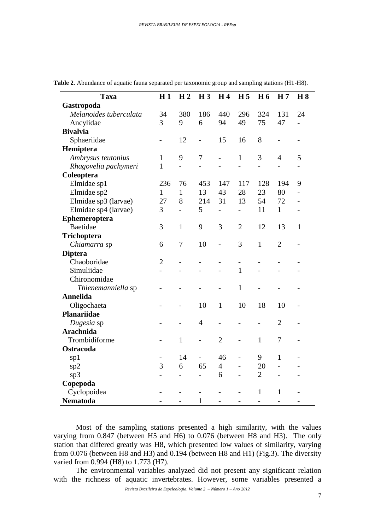| <b>Taxa</b>            | H1                       | H <sub>2</sub> | H <sub>3</sub>           | H <sub>4</sub>           | H <sub>5</sub>           | H <sub>6</sub> | H <sub>7</sub> | H8                       |
|------------------------|--------------------------|----------------|--------------------------|--------------------------|--------------------------|----------------|----------------|--------------------------|
| Gastropoda             |                          |                |                          |                          |                          |                |                |                          |
| Melanoides tuberculata | 34                       | 380            | 186                      | 440                      | 296                      | 324            | 131            | 24                       |
| Ancylidae              | 3                        | 9              | 6                        | 94                       | 49                       | 75             | 47             | $\overline{\phantom{a}}$ |
| <b>Bivalvia</b>        |                          |                |                          |                          |                          |                |                |                          |
| Sphaeriidae            | $\overline{a}$           | 12             | $\overline{\phantom{m}}$ | 15                       | 16                       | 8              | $\overline{a}$ | $\overline{\phantom{0}}$ |
| Hemiptera              |                          |                |                          |                          |                          |                |                |                          |
| Ambrysus teutonius     | $\mathbf{1}$             | 9              | $\tau$                   |                          | 1                        | 3              | $\overline{4}$ | 5                        |
| Rhagovelia pachymeri   | $\mathbf{1}$             | $\overline{a}$ | $\overline{a}$           |                          |                          | $\overline{a}$ |                |                          |
| Coleoptera             |                          |                |                          |                          |                          |                |                |                          |
| Elmidae sp1            | 236                      | 76             | 453                      | 147                      | 117                      | 128            | 194            | 9                        |
| Elmidae sp2            | $\mathbf{1}$             | $\mathbf{1}$   | 13                       | 43                       | 28                       | 23             | 80             | $\overline{a}$           |
| Elmidae sp3 (larvae)   | 27                       | 8              | 214                      | 31                       | 13                       | 54             | 72             |                          |
| Elmidae sp4 (larvae)   | 3                        | $\overline{a}$ | 5                        | $\overline{\phantom{0}}$ | $\overline{\phantom{0}}$ | 11             | $\mathbf{1}$   |                          |
| Ephemeroptera          |                          |                |                          |                          |                          |                |                |                          |
| Baetidae               | 3                        | $\mathbf{1}$   | 9                        | 3                        | $\overline{2}$           | 12             | 13             | $\mathbf{1}$             |
| Trichoptera            |                          |                |                          |                          |                          |                |                |                          |
| Chiamarra sp           | 6                        | 7              | 10                       | $\overline{a}$           | 3                        | $\mathbf{1}$   | $\overline{2}$ |                          |
| <b>Diptera</b>         |                          |                |                          |                          |                          |                |                |                          |
| Chaoboridae            | $\overline{2}$           |                |                          |                          | $\overline{a}$           |                |                |                          |
| Simuliidae             | $\overline{a}$           |                |                          |                          | $\mathbf{1}$             |                |                |                          |
| Chironomidae           |                          |                |                          |                          |                          |                |                |                          |
| Thienemanniella sp     | $\overline{a}$           |                |                          |                          | $\mathbf{1}$             |                |                |                          |
| <b>Annelida</b>        |                          |                |                          |                          |                          |                |                |                          |
| Oligochaeta            | $\overline{\phantom{0}}$ | $\overline{a}$ | 10                       | $\mathbf{1}$             | 10                       | 18             | 10             |                          |
| Planariidae            |                          |                |                          |                          |                          |                |                |                          |
| Dugesia sp             | $\overline{a}$           |                | $\overline{4}$           |                          |                          |                | $\overline{2}$ |                          |
| <b>Arachnida</b>       |                          |                |                          |                          |                          |                |                |                          |
| Trombidiforme          | $\overline{a}$           | $\mathbf{1}$   |                          | $\overline{2}$           |                          | $\mathbf{1}$   | 7              |                          |
| <b>Ostracoda</b>       |                          |                |                          |                          |                          |                |                |                          |
| sp1                    | $\overline{\phantom{0}}$ | 14             | $\overline{\phantom{a}}$ | 46                       | $\overline{\phantom{0}}$ | 9              | $\mathbf{1}$   |                          |
| sp2                    | 3                        | 6              | 65                       | $\overline{4}$           | $\overline{a}$           | 20             |                |                          |
| sp3                    | $\overline{a}$           |                | $\overline{a}$           | 6                        |                          | $\overline{2}$ |                |                          |
| Copepoda               |                          |                |                          |                          |                          |                |                |                          |
| Cyclopoidea            |                          |                |                          |                          |                          | $\mathbf{1}$   | 1              |                          |
| <b>Nematoda</b>        |                          |                | $\mathbf{1}$             |                          |                          | $\overline{a}$ |                |                          |

**Table 2**. Abundance of aquatic fauna separated per taxonomic group and sampling stations (H1-H8).

Most of the sampling stations presented a high similarity, with the values varying from 0.847 (between H5 and H6) to 0.076 (between H8 and H3). The only station that differed greatly was H8, which presented low values of similarity, varying from 0.076 (between H8 and H3) and 0.194 (between H8 and H1) (Fig.3). The diversity varied from 0.994 (H8) to 1.773 (H7).

The environmental variables analyzed did not present any significant relation with the richness of aquatic invertebrates. However, some variables presented a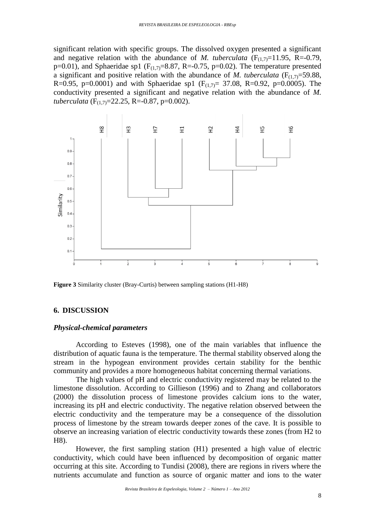significant relation with specific groups. The dissolved oxygen presented a significant and negative relation with the abundance of *M. tuberculata*  $(F_{(1,7)}=11.95, R=-0.79,$ p=0.01), and Sphaeridae sp1 ( $F_{(1,7)}$ =8.87, R=-0.75, p=0.02). The temperature presented a significant and positive relation with the abundance of *M. tuberculata*  $(F_{(1,7)}=59.88,$ R=0.95, p=0.0001) and with Sphaeridae sp1 ( $F_{(1,7)}$ = 37.08, R=0.92, p=0.0005). The conductivity presented a significant and negative relation with the abundance of *M. tuberculata* ( $F_{(1,7)} = 22.25$ , R=-0.87, p=0.002).



**Figure 3** Similarity cluster (Bray-Curtis) between sampling stations (H1-H8)

#### **6. DISCUSSION**

#### *Physical-chemical parameters*

According to Esteves (1998), one of the main variables that influence the distribution of aquatic fauna is the temperature. The thermal stability observed along the stream in the hypogean environment provides certain stability for the benthic community and provides a more homogeneous habitat concerning thermal variations.

The high values of pH and electric conductivity registered may be related to the limestone dissolution. According to Gillieson (1996) and to Zhang and collaborators (2000) the dissolution process of limestone provides calcium ions to the water, increasing its pH and electric conductivity. The negative relation observed between the electric conductivity and the temperature may be a consequence of the dissolution process of limestone by the stream towards deeper zones of the cave. It is possible to observe an increasing variation of electric conductivity towards these zones (from H2 to H8).

However, the first sampling station (H1) presented a high value of electric conductivity, which could have been influenced by decomposition of organic matter occurring at this site. According to Tundisi (2008), there are regions in rivers where the nutrients accumulate and function as source of organic matter and ions to the water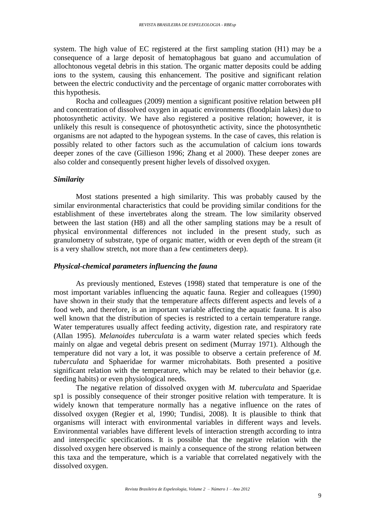system. The high value of EC registered at the first sampling station (H1) may be a consequence of a large deposit of hematophagous bat guano and accumulation of allochtonous vegetal debris in this station. The organic matter deposits could be adding ions to the system, causing this enhancement. The positive and significant relation between the electric conductivity and the percentage of organic matter corroborates with this hypothesis.

Rocha and colleagues (2009) mention a significant positive relation between pH and concentration of dissolved oxygen in aquatic environments (floodplain lakes) due to photosynthetic activity. We have also registered a positive relation; however, it is unlikely this result is consequence of photosynthetic activity, since the photosynthetic organisms are not adapted to the hypogean systems. In the case of caves, this relation is possibly related to other factors such as the accumulation of calcium ions towards deeper zones of the cave (Gillieson 1996; Zhang et al 2000). These deeper zones are also colder and consequently present higher levels of dissolved oxygen.

#### *Similarity*

Most stations presented a high similarity. This was probably caused by the similar environmental characteristics that could be providing similar conditions for the establishment of these invertebrates along the stream. The low similarity observed between the last station (H8) and all the other sampling stations may be a result of physical environmental differences not included in the present study, such as granulometry of substrate, type of organic matter, width or even depth of the stream (it is a very shallow stretch, not more than a few centimeters deep).

#### *Physical-chemical parameters influencing the fauna*

As previously mentioned, Esteves (1998) stated that temperature is one of the most important variables influencing the aquatic fauna. Regier and colleagues (1990) have shown in their study that the temperature affects different aspects and levels of a food web, and therefore, is an important variable affecting the aquatic fauna. It is also well known that the distribution of species is restricted to a certain temperature range. Water temperatures usually affect feeding activity, digestion rate, and respiratory rate (Allan 1995). *Melanoides tuberculata* is a warm water related species which feeds mainly on algae and vegetal debris present on sediment (Murray 1971). Although the temperature did not vary a lot, it was possible to observe a certain preference of *M. tuberculata* and Sphaeridae for warmer microhabitats. Both presented a positive significant relation with the temperature, which may be related to their behavior (g.e. feeding habits) or even physiological needs.

The negative relation of dissolved oxygen with *M. tuberculata* and Spaeridae sp1 is possibly consequence of their stronger positive relation with temperature. It is widely known that temperature normally has a negative influence on the rates of dissolved oxygen (Regier et al, 1990; Tundisi, 2008). It is plausible to think that organisms will interact with environmental variables in different ways and levels. Environmental variables have different levels of interaction strength according to intra and interspecific specifications. It is possible that the negative relation with the dissolved oxygen here observed is mainly a consequence of the strong relation between this taxa and the temperature, which is a variable that correlated negatively with the dissolved oxygen.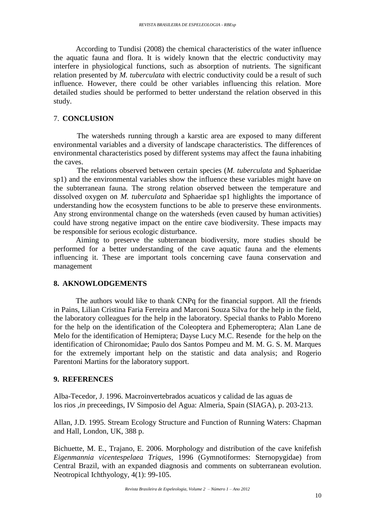According to Tundisi (2008) the chemical characteristics of the water influence the aquatic fauna and flora. It is widely known that the electric conductivity may interfere in physiological functions, such as absorption of nutrients. The significant relation presented by *M. tuberculata* with electric conductivity could be a result of such influence. However, there could be other variables influencing this relation. More detailed studies should be performed to better understand the relation observed in this study.

#### 7. **CONCLUSION**

The watersheds running through a karstic area are exposed to many different environmental variables and a diversity of landscape characteristics. The differences of environmental characteristics posed by different systems may affect the fauna inhabiting the caves.

The relations observed between certain species (*M. tuberculata* and Sphaeridae sp1) and the environmental variables show the influence these variables might have on the subterranean fauna. The strong relation observed between the temperature and dissolved oxygen on *M. tuberculata* and Sphaeridae sp1 highlights the importance of understanding how the ecosystem functions to be able to preserve these environments. Any strong environmental change on the watersheds (even caused by human activities) could have strong negative impact on the entire cave biodiversity. These impacts may be responsible for serious ecologic disturbance.

Aiming to preserve the subterranean biodiversity, more studies should be performed for a better understanding of the cave aquatic fauna and the elements influencing it. These are important tools concerning cave fauna conservation and management

#### **8. AKNOWLODGEMENTS**

The authors would like to thank CNPq for the financial support. All the friends in Pains, Lilian Cristina Faria Ferreira and Marconi Souza Silva for the help in the field, the laboratory colleagues for the help in the laboratory. Special thanks to Pablo Moreno for the help on the identification of the Coleoptera and Ephemeroptera; Alan Lane de Melo for the identification of Hemiptera; Dayse Lucy M.C. Resende for the help on the identification of Chironomidae; Paulo dos Santos Pompeu and M. M. G. S. M. Marques for the extremely important help on the statistic and data analysis; and Rogerio Parentoni Martins for the laboratory support.

#### **9. REFERENCES**

Alba-Tecedor, J. 1996. Macroinvertebrados acuaticos y calidad de las aguas de los rios ,*in* preceedings, IV Simposio del Agua: Almeria, Spain (SIAGA), p. 203-213.

Allan, J.D. 1995. Stream Ecology Structure and Function of Running Waters: Chapman and Hall, London, UK, 388 p.

[Bichuette, M. E.,](http://lattes.cnpq.br/8453043393798516) Trajano, E. 2006. Morphology and distribution of the cave knifefish *Eigenmannia vicentespelaea Triques*, 1996 (Gymnotiformes: Sternopygidae) from Central Brazil, with an expanded diagnosis and comments on subterranean evolution. Neotropical Ichthyology, 4(1): 99-105.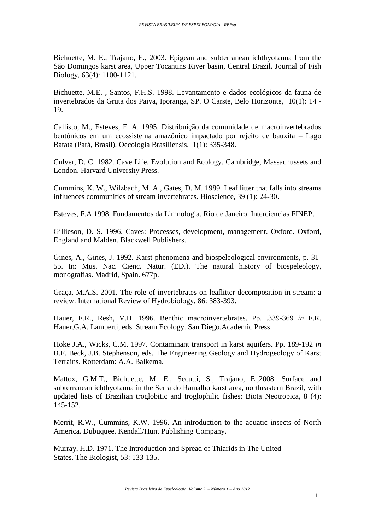[Bichuette, M. E.,](http://lattes.cnpq.br/8453043393798516) Trajano, E., 2003. Epigean and subterranean ichthyofauna from the São Domingos karst area, Upper Tocantins River basin, Central Brazil. Journal of Fish Biology, 63(4): 1100-1121.

Bichuette, M.E. , Santos, F.H.S. 1998. Levantamento e dados ecológicos da fauna de invertebrados da Gruta dos Paiva, Iporanga, SP. O Carste, Belo Horizonte, 10(1): 14 - 19.

Callisto, M., Esteves, F. A. 1995. Distribuição da comunidade de macroinvertebrados bentônicos em um ecossistema amazônico impactado por rejeito de bauxita – Lago Batata (Pará, Brasil). Oecologia Brasiliensis, 1(1): 335-348.

Culver, D. C. 1982. Cave Life, Evolution and Ecology. Cambridge, Massachussets and London. Harvard University Press.

Cummins, K. W., Wilzbach, M. A., Gates, D. M. 1989. Leaf litter that falls into streams influences communities of stream invertebrates. Bioscience, 39 (1): 24-30.

Esteves, F.A.1998, Fundamentos da Limnologia. Rio de Janeiro. Interciencias FINEP.

Gillieson, D. S. 1996. Caves: Processes, development, management. Oxford. Oxford, England and Malden. Blackwell Publishers.

Gines, A., Gines, J. 1992. Karst phenomena and biospeleological environments, p. 31- 55. In: Mus. Nac. Cienc. Natur. (ED.). The natural history of biospeleology, monografias. Madrid, Spain. 677p.

Graça, M.A.S. 2001. The role of invertebrates on leaflitter decomposition in stream: a review. International Review of Hydrobiology, 86: 383-393.

Hauer, F.R., Resh, V.H. 1996. Benthic macroinvertebrates. Pp. .339-369 *in* F.R. Hauer,G.A. Lamberti, eds. Stream Ecology. San Diego.Academic Press.

Hoke J.A., Wicks, C.M. 1997. Contaminant transport in karst aquifers. Pp. 189-192 *in* B.F. Beck, J.B. Stephenson, eds. The Engineering Geology and Hydrogeology of Karst Terrains. Rotterdam: A.A. Balkema.

Mattox, G.M.T., Bichuette, M. E., Secutti, S., Trajano, E.,2008. Surface and subterranean ichthyofauna in the Serra do Ramalho karst area, northeastern Brazil, with updated lists of Brazilian troglobitic and troglophilic fishes: Biota Neotropica, 8 (4): 145-152.

Merrit, R.W., Cummins, K.W. 1996. An introduction to the aquatic insects of North America. Dubuquee. Kendall/Hunt Publishing Company.

Murray, H.D. 1971. The Introduction and Spread of Thiarids in The United States. The Biologist, 53: 133-135.